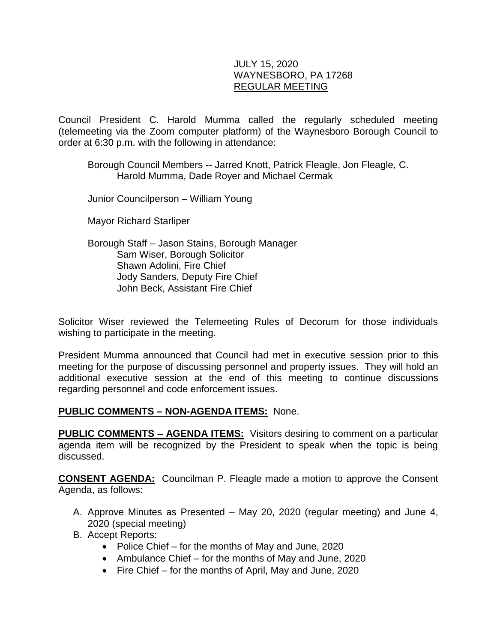#### JULY 15, 2020 WAYNESBORO, PA 17268 REGULAR MEETING

Council President C. Harold Mumma called the regularly scheduled meeting (telemeeting via the Zoom computer platform) of the Waynesboro Borough Council to order at 6:30 p.m. with the following in attendance:

Borough Council Members -- Jarred Knott, Patrick Fleagle, Jon Fleagle, C. Harold Mumma, Dade Royer and Michael Cermak

Junior Councilperson – William Young

Mayor Richard Starliper

Borough Staff – Jason Stains, Borough Manager Sam Wiser, Borough Solicitor Shawn Adolini, Fire Chief Jody Sanders, Deputy Fire Chief John Beck, Assistant Fire Chief

Solicitor Wiser reviewed the Telemeeting Rules of Decorum for those individuals wishing to participate in the meeting.

President Mumma announced that Council had met in executive session prior to this meeting for the purpose of discussing personnel and property issues. They will hold an additional executive session at the end of this meeting to continue discussions regarding personnel and code enforcement issues.

#### **PUBLIC COMMENTS – NON-AGENDA ITEMS:** None.

**PUBLIC COMMENTS – AGENDA ITEMS:** Visitors desiring to comment on a particular agenda item will be recognized by the President to speak when the topic is being discussed.

**CONSENT AGENDA:** Councilman P. Fleagle made a motion to approve the Consent Agenda, as follows:

- A. Approve Minutes as Presented May 20, 2020 (regular meeting) and June 4, 2020 (special meeting)
- B. Accept Reports:
	- Police Chief for the months of May and June, 2020
	- Ambulance Chief for the months of May and June, 2020
	- Fire Chief for the months of April, May and June, 2020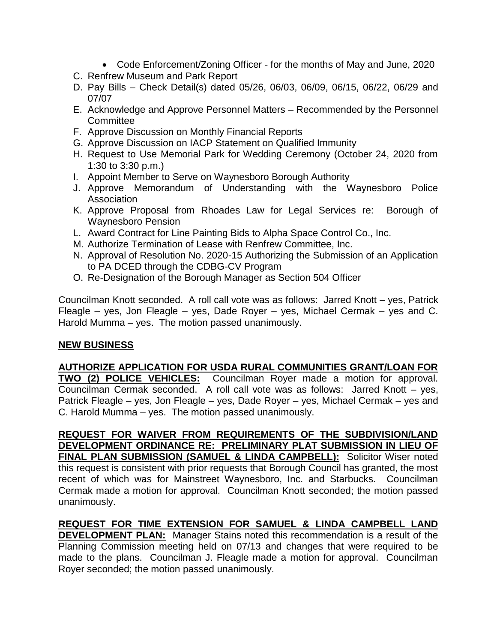- Code Enforcement/Zoning Officer for the months of May and June, 2020
- C. Renfrew Museum and Park Report
- D. Pay Bills Check Detail(s) dated 05/26, 06/03, 06/09, 06/15, 06/22, 06/29 and 07/07
- E. Acknowledge and Approve Personnel Matters Recommended by the Personnel **Committee**
- F. Approve Discussion on Monthly Financial Reports
- G. Approve Discussion on IACP Statement on Qualified Immunity
- H. Request to Use Memorial Park for Wedding Ceremony (October 24, 2020 from 1:30 to 3:30 p.m.)
- I. Appoint Member to Serve on Waynesboro Borough Authority
- J. Approve Memorandum of Understanding with the Waynesboro Police Association
- K. Approve Proposal from Rhoades Law for Legal Services re: Borough of Waynesboro Pension
- L. Award Contract for Line Painting Bids to Alpha Space Control Co., Inc.
- M. Authorize Termination of Lease with Renfrew Committee, Inc.
- N. Approval of Resolution No. 2020-15 Authorizing the Submission of an Application to PA DCED through the CDBG-CV Program
- O. Re-Designation of the Borough Manager as Section 504 Officer

Councilman Knott seconded. A roll call vote was as follows: Jarred Knott – yes, Patrick Fleagle – yes, Jon Fleagle – yes, Dade Royer – yes, Michael Cermak – yes and C. Harold Mumma – yes. The motion passed unanimously.

# **NEW BUSINESS**

**AUTHORIZE APPLICATION FOR USDA RURAL COMMUNITIES GRANT/LOAN FOR TWO (2) POLICE VEHICLES:** Councilman Royer made a motion for approval. Councilman Cermak seconded. A roll call vote was as follows: Jarred Knott – yes, Patrick Fleagle – yes, Jon Fleagle – yes, Dade Royer – yes, Michael Cermak – yes and C. Harold Mumma – yes. The motion passed unanimously.

**REQUEST FOR WAIVER FROM REQUIREMENTS OF THE SUBDIVISION/LAND DEVELOPMENT ORDINANCE RE: PRELIMINARY PLAT SUBMISSION IN LIEU OF FINAL PLAN SUBMISSION (SAMUEL & LINDA CAMPBELL):** Solicitor Wiser noted this request is consistent with prior requests that Borough Council has granted, the most recent of which was for Mainstreet Waynesboro, Inc. and Starbucks. Councilman Cermak made a motion for approval. Councilman Knott seconded; the motion passed unanimously.

# **REQUEST FOR TIME EXTENSION FOR SAMUEL & LINDA CAMPBELL LAND**

**DEVELOPMENT PLAN:** Manager Stains noted this recommendation is a result of the Planning Commission meeting held on 07/13 and changes that were required to be made to the plans. Councilman J. Fleagle made a motion for approval. Councilman Royer seconded; the motion passed unanimously.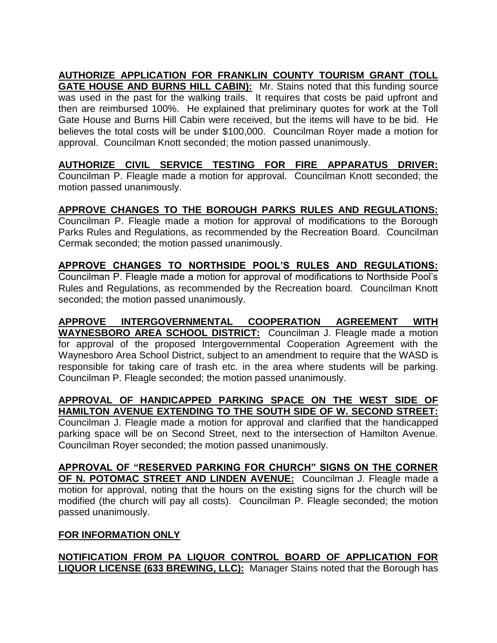**AUTHORIZE APPLICATION FOR FRANKLIN COUNTY TOURISM GRANT (TOLL GATE HOUSE AND BURNS HILL CABIN):** Mr. Stains noted that this funding source was used in the past for the walking trails. It requires that costs be paid upfront and then are reimbursed 100%. He explained that preliminary quotes for work at the Toll Gate House and Burns Hill Cabin were received, but the items will have to be bid. He believes the total costs will be under \$100,000. Councilman Royer made a motion for approval. Councilman Knott seconded; the motion passed unanimously.

**AUTHORIZE CIVIL SERVICE TESTING FOR FIRE APPARATUS DRIVER:** Councilman P. Fleagle made a motion for approval. Councilman Knott seconded; the motion passed unanimously.

**APPROVE CHANGES TO THE BOROUGH PARKS RULES AND REGULATIONS:**

Councilman P. Fleagle made a motion for approval of modifications to the Borough Parks Rules and Regulations, as recommended by the Recreation Board. Councilman Cermak seconded; the motion passed unanimously.

**APPROVE CHANGES TO NORTHSIDE POOL'S RULES AND REGULATIONS:** Councilman P. Fleagle made a motion for approval of modifications to Northside Pool's Rules and Regulations, as recommended by the Recreation board. Councilman Knott seconded; the motion passed unanimously.

**APPROVE INTERGOVERNMENTAL COOPERATION AGREEMENT WITH WAYNESBORO AREA SCHOOL DISTRICT:** Councilman J. Fleagle made a motion for approval of the proposed Intergovernmental Cooperation Agreement with the Waynesboro Area School District, subject to an amendment to require that the WASD is responsible for taking care of trash etc. in the area where students will be parking. Councilman P. Fleagle seconded; the motion passed unanimously.

**APPROVAL OF HANDICAPPED PARKING SPACE ON THE WEST SIDE OF HAMILTON AVENUE EXTENDING TO THE SOUTH SIDE OF W. SECOND STREET:** Councilman J. Fleagle made a motion for approval and clarified that the handicapped parking space will be on Second Street, next to the intersection of Hamilton Avenue. Councilman Royer seconded; the motion passed unanimously.

**APPROVAL OF "RESERVED PARKING FOR CHURCH" SIGNS ON THE CORNER OF N. POTOMAC STREET AND LINDEN AVENUE:** Councilman J. Fleagle made a motion for approval, noting that the hours on the existing signs for the church will be modified (the church will pay all costs). Councilman P. Fleagle seconded; the motion passed unanimously.

# **FOR INFORMATION ONLY**

**NOTIFICATION FROM PA LIQUOR CONTROL BOARD OF APPLICATION FOR LIQUOR LICENSE (633 BREWING, LLC):** Manager Stains noted that the Borough has